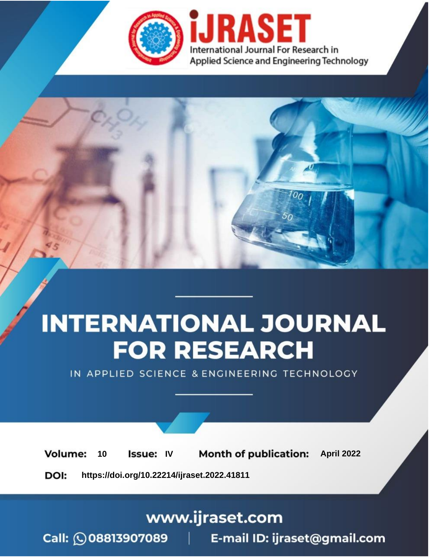

# **INTERNATIONAL JOURNAL FOR RESEARCH**

IN APPLIED SCIENCE & ENGINEERING TECHNOLOGY

10 **Issue: IV Month of publication:** April 2022 **Volume:** 

**https://doi.org/10.22214/ijraset.2022.41811**DOI:

www.ijraset.com

Call: 008813907089 | E-mail ID: ijraset@gmail.com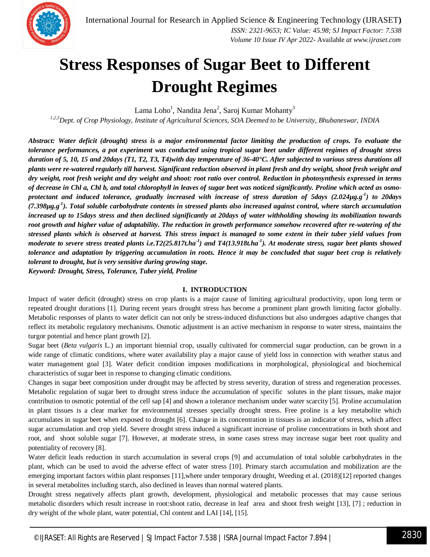

## **Stress Responses of Sugar Beet to Different Drought Regimes**

Lama Loho $^1$ , Nandita Jena $^2$ , Saroj Kumar Mohanty $^3$ 

*1,2,3Dept. of Crop Physiology, Institute of Agricultural Sciences, SOA Deemed to be University, Bhubaneswar, INDIA*

*Abstract: Water deficit (drought) stress is a major environmental factor limiting the production of crops. To evaluate the tolerance performances, a pot experiment was conducted using tropical sugar beet under different regimes of drought stress duration of 5, 10, 15 and 20days (T1, T2, T3, T4)with day temperature of 36-40°C. After subjected to various stress durations all plants were re-watered regularly till harvest. Significant reduction observed in plant fresh and dry weight, shoot fresh weight and dry weight, root fresh weight and dry weight and shoot: root ratio over control. Reduction in photosynthesis expressed in terms of decrease in Chl a, Chl b, and total chlorophyll in leaves of sugar beet was noticed significantly. Proline which acted as osmoprotectant and induced tolerance, gradually increased with increase of stress duration of 5days (2.024µg.g-1 ) to 20days (7.398µg.g-1 ). Total soluble carbohydrate contents in stressed plants also increased against control, where starch accumulation increased up to 15days stress and then declined significantly at 20days of water withholding showing its mobilization towards root growth and higher value of adaptability. The reduction in growth performance somehow recovered after re-watering of the stressed plants which is observed at harvest. This stress impact is managed to some extent in their tuber yield values from moderate to severe stress treated plants i.e.T2(25.817t.ha-1 ) and T4(13.918t.ha-1 ). At moderate stress, sugar beet plants showed tolerance and adaptation by triggering accumulation in roots. Hence it may be concluded that sugar beet crop is relatively tolerant to drought, but is very sensitive during growing stage.* 

*Keyword: Drought, Stress, Tolerance, Tuber yield, Proline*

## **I. INTRODUCTION**

Impact of water deficit (drought) stress on crop plants is a major cause of limiting agricultural productivity, upon long term or repeated drought durations [1]. During recent years drought stress has become a prominent plant growth limiting factor globally. Metabolic responses of plants to water deficit can not only be stress-induced disfunctions but also undergoes adaptive changes that reflect its metabolic regulatory mechanisms. Osmotic adjustment is an active mechanism in response to water stress, maintains the turgor potential and hence plant growth [2].

Sugar beet (*Beta vulgaris* L.) an important biennial crop, usually cultivated for commercial sugar production, can be grown in a wide range of climatic conditions, where water availability play a major cause of yield loss in connection with weather status and water management goal [3]. Water deficit condition imposes modifications in morphological, physiological and biochemical characteristics of sugar beet in response to changing climatic conditions.

Changes in sugar beet composition under drought may be affected by stress severity, duration of stress and regeneration processes. Metabolic regulation of sugar beet to drought stress induce the accumulation of specific solutes in the plant tissues, make major contribution to osmotic potential of the cell sap [4] and shown a tolerance mechanism under water scarcity [5]. Proline accumulation in plant tissues is a clear marker for environmental stresses specially drought stress. Free proline is a key metabolite which accumulates in sugar beet when exposed to drought [6]. Change in its concentration in tissues is an indicator of stress, which affect sugar accumulation and crop yield. Severe drought stress induced a significant increase of proline concentrations in both shoot and root, and shoot soluble sugar [7]. However, at moderate stress, in some cases stress may increase sugar beet root quality and potentiality of recovery [8].

Water deficit leads reduction in starch accumulation in several crops [9] and accumulation of total soluble carbohydrates in the plant, which can be used to avoid the adverse effect of water stress [10]. Primary starch accumulation and mobilization are the emerging important factors within plant responses [11],where under temporary drought, Weeding et al. (2018)[12] reported changes in several metabolites including starch, also declined in leaves than normal watered plants.

Drought stress negatively affects plant growth, development, physiological and metabolic processes that may cause serious metabolic disorders which result increase in root:shoot ratio, decrease in leaf area and shoot fresh weight [13], [7] ; reduction in dry weight of the whole plant, water potential, Chl content and LAI [14], [15].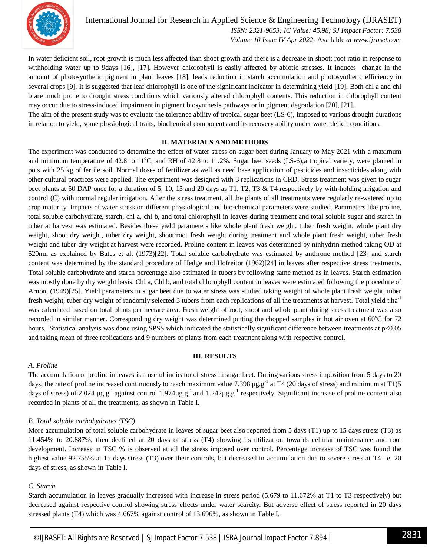

International Journal for Research in Applied Science & Engineering Technology (IJRASET**)**  *ISSN: 2321-9653; IC Value: 45.98; SJ Impact Factor: 7.538 Volume 10 Issue IV Apr 2022-* Available *at www.ijraset.com*

In water deficient soil, root growth is much less affected than shoot growth and there is a decrease in shoot: root ratio in response to withholding water up to 9days [16], [17]. However chlorophyll is easily affected by abiotic stresses. It induces change in the amount of photosynthetic pigment in plant leaves [18], leads reduction in starch accumulation and photosynthetic efficiency in several crops [9]. It is suggested that leaf chlorophyll is one of the significant indicator in determining yield [19]. Both chl a and chl b are much prone to drought stress conditions which variously altered chlorophyll contents. This reduction in chlorophyll content may occur due to stress-induced impairment in pigment biosynthesis pathways or in pigment degradation [20], [21].

The aim of the present study was to evaluate the tolerance ability of tropical sugar beet (LS-6), imposed to various drought durations in relation to yield, some physiological traits, biochemical components and its recovery ability under water deficit conditions.

#### **II. MATERIALS AND METHODS**

The experiment was conducted to determine the effect of water stress on sugar beet during January to May 2021 with a maximum and minimum temperature of 42.8 to  $11^{\circ}$ C, and RH of 42.8 to 11.2%. Sugar beet seeds (LS-6), a tropical variety, were planted in pots with 25 kg of fertile soil. Normal doses of fertilizer as well as need base application of pesticides and insecticides along with other cultural practices were applied. The experiment was designed with 3 replications in CRD. Stress treatment was given to sugar beet plants at 50 DAP once for a duration of 5, 10, 15 and 20 days as T1, T2, T3 & T4 respectively by with-holding irrigation and control (C) with normal regular irrigation. After the stress treatment, all the plants of all treatments were regularly re-watered up to crop maturity. Impacts of water stress on different physiological and bio-chemical parameters were studied. Parameters like proline, total soluble carbohydrate, starch, chl a, chl b, and total chlorophyll in leaves during treatment and total soluble sugar and starch in tuber at harvest was estimated. Besides these yield parameters like whole plant fresh weight, tuber fresh weight, whole plant dry weight, shoot dry weight, tuber dry weight, shoot:root fresh weight during treatment and whole plant fresh weight, tuber fresh weight and tuber dry weight at harvest were recorded. Proline content in leaves was determined by ninhydrin method taking OD at 520nm as explained by Bates et al. (1973)[22]. Total soluble carbohydrate was estimated by anthrone method [23] and starch content was determined by the standard procedure of Hedge and Hofreitor (1962)[24] in leaves after respective stress treatments. Total soluble carbohydrate and starch percentage also estimated in tubers by following same method as in leaves. Starch estimation was mostly done by dry weight basis. Chl a, Chl b, and total chlorophyll content in leaves were estimated following the procedure of Arnon, (1949)[25]. Yield parameters in sugar beet due to water stress was studied taking weight of whole plant fresh weight, tuber fresh weight, tuber dry weight of randomly selected 3 tubers from each replications of all the treatments at harvest. Total yield t.ha<sup>-1</sup> was calculated based on total plants per hectare area. Fresh weight of root, shoot and whole plant during stress treatment was also recorded in similar manner. Corresponding dry weight was determined putting the chopped samples in hot air oven at  $60^{\circ}$ C for 72 hours. Statistical analysis was done using SPSS which indicated the statistically significant difference between treatments at  $p<0.05$ and taking mean of three replications and 9 numbers of plants from each treatment along with respective control.

#### **III. RESULTS**

## *A. Proline*

The accumulation of proline in leaves is a useful indicator of stress in sugar beet. During various stress imposition from 5 days to 20 days, the rate of proline increased continuously to reach maximum value 7.398  $\mu$ g.g<sup>-1</sup> at T4 (20 days of stress) and minimum at T1(5 days of stress) of 2.024  $\mu$ g.g<sup>-1</sup> against control 1.974 $\mu$ g.g<sup>-1</sup> and 1.242 $\mu$ g.g<sup>-1</sup> respectively. Significant increase of proline content also recorded in plants of all the treatments, as shown in Table I.

## *B. Total soluble carbohydrates (TSC)*

More accumulation of total soluble carbohydrate in leaves of sugar beet also reported from 5 days (T1) up to 15 days stress (T3) as 11.454% to 20.887%, then declined at 20 days of stress (T4) showing its utilization towards cellular maintenance and root development. Increase in TSC % is observed at all the stress imposed over control. Percentage increase of TSC was found the highest value 92.755% at 15 days stress (T3) over their controls, but decreased in accumulation due to severe stress at T4 i.e. 20 days of stress, as shown in Table I.

## *C*. *Starch*

Starch accumulation in leaves gradually increased with increase in stress period (5.679 to 11.672% at T1 to T3 respectively) but decreased against respective control showing stress effects under water scarcity. But adverse effect of stress reported in 20 days stressed plants (T4) which was 4.667% against control of 13.696%, as shown in Table I.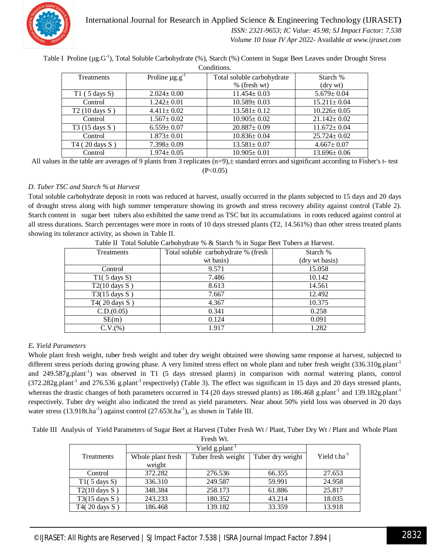

## International Journal for Research in Applied Science & Engineering Technology (IJRASET**)**  *ISSN: 2321-9653; IC Value: 45.98; SJ Impact Factor: 7.538 Volume 10 Issue IV Apr 2022-* Available *at www.ijraset.com*

Table I Proline (µg.G<sup>-1</sup>), Total Soluble Carbohydrate (%), Starch (%) Content in Sugar Beet Leaves under Drought Stress

Conditions.

| <b>Treatments</b> | Proline $\mu$ g.g <sup>-1</sup> | Total soluble carbohydrate | Starch %          |
|-------------------|---------------------------------|----------------------------|-------------------|
|                   |                                 |                            |                   |
|                   |                                 | % (fresh wt)               | (dry wt)          |
| $T1$ (5 days S)   | $2.024 \pm 0.00$                | $11.454 \pm 0.03$          | $5.679 \pm 0.04$  |
| Control           | $1.242 \pm 0.01$                | $10.589 \pm 0.03$          | $15.211 \pm 0.04$ |
| T2 (10 days S)    | $4.411 \pm 0.02$                | $13.581 \pm 0.12$          | $10.226 \pm 0.05$ |
| Control           | $1.567 \pm 0.02$                | $10.905 \pm 0.02$          | $21.142 \pm 0.02$ |
| T3 (15 days S)    | $6.559 \pm 0.07$                | $20.887 \pm 0.09$          | $11.672 \pm 0.04$ |
| Control           | $1.873 \pm 0.01$                | $10.836 \pm 0.04$          | $25.724 \pm 0.02$ |
| T4 (20 days S)    | $7.398 \pm 0.09$                | $13.581 \pm 0.07$          | $4.667 \pm 0.07$  |
| Control           | $1.974 \pm 0.05$                | $10.905 \pm 0.01$          | $13.696 \pm 0.06$ |

All values in the table are averages of 9 plants from 3 replicates  $(n=9)$ , $\pm$  standard errors and significant according to Fisher's t- test  $(P<0.05)$ 

## *D. Tuber TSC and Starch % at Harvest*

Total soluble carbohydrate deposit in roots was reduced at harvest, usually occurred in the plants subjected to 15 days and 20 days of drought stress along with high summer temperature showing its growth and stress recovery ability against control (Table 2). Starch content in sugar beet tubers also exhibited the same trend as TSC but its accumulations in roots reduced against control at all stress durations. Starch percentages were more in roots of 10 days stressed plants (T2, 14.561%) than other stress treated plants showing its tolerance activity, as shown in Table II.

| Treatments               | Total soluble carbohydrate % (fresh | Starch %       |  |
|--------------------------|-------------------------------------|----------------|--|
|                          | wt basis)                           | (dry wt basis) |  |
| Control                  | 9.571                               | 15.058         |  |
| T1(5 days S)             | 7.486                               | 10.142         |  |
| $T2(10 \text{ days } S)$ | 8.613                               | 14.561         |  |
| $T3(15 \text{ days } S)$ | 7.667                               | 12.492         |  |
| T4(20 days S)            | 4.367                               | 10.375         |  |
| C.D.(0.05)               | 0.341                               | 0.258          |  |
| SE(m)                    | 0.124                               | 0.091          |  |
| C.V.(%)                  | 1.917                               | 1.282          |  |

Table II Total Soluble Carbohydrate % & Starch % in Sugar Beet Tubers at Harvest.

## *E. Yield Parameters*

Whole plant fresh weight, tuber fresh weight and tuber dry weight obtained were showing same response at harvest, subjected to different stress periods during growing phase. A very limited stress effect on whole plant and tuber fresh weight (336.310g.plant<sup>-1</sup> and 249.587g.plant<sup>-1</sup>) was observed in T1 (5 days stressed plants) in comparison with normal watering plants, control  $(372.282g.$ plant<sup>-1</sup> and 276.536 g.plant<sup>-1</sup> respectively) (Table 3). The effect was significant in 15 days and 20 days stressed plants, whereas the drastic changes of both parameters occurred in T4 (20 days stressed plants) as 186.468 g.plant<sup>-1</sup> and 139.182g.plant<sup>-1</sup> respectively. Tuber dry weight also indicated the trend as yield parameters. Near about 50% yield loss was observed in 20 days water stress  $(13.918t.ha^{-1})$  against control  $(27.653t.ha^{-1})$ , as shown in Table III.

Table III Analysis of Yield Parameters of Sugar Beet at Harvest (Tuber Fresh Wt / Plant, Tuber Dry Wt / Plant and Whole Plant

| Fresh Wt.                   |                   |                    |                  |                   |  |
|-----------------------------|-------------------|--------------------|------------------|-------------------|--|
| Yield g.plant <sup>-1</sup> |                   |                    |                  |                   |  |
| <b>Treatments</b>           | Whole plant fresh | Tuber fresh weight | Tuber dry weight | Yield $t.ha^{-1}$ |  |
|                             | weight            |                    |                  |                   |  |
| Control                     | 372.282           | 276.536            | 66.355           | 27.653            |  |
| $T1(5 \text{ days } S)$     | 336.310           | 249.587            | 59.991           | 24.958            |  |
| $T2(10 \text{ days } S)$    | 348.384           | 258.173            | 61.886           | 25.817            |  |
| $T3(15 \text{ days } S)$    | 243.233           | 180.352            | 43.214           | 18.035            |  |
| T4 $(20 \text{ days } S)$   | 186.468           | 139.182            | 33.359           | 13.918            |  |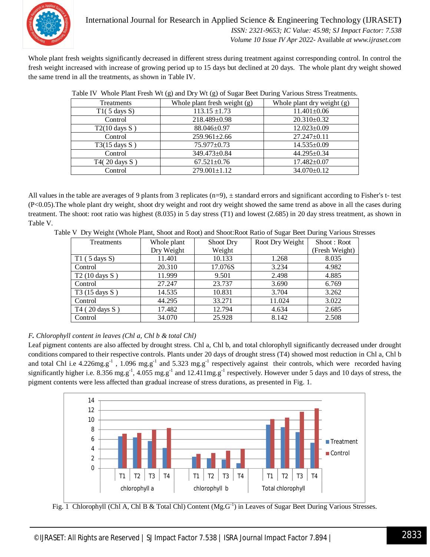

Whole plant fresh weights significantly decreased in different stress during treatment against corresponding control. In control the fresh weight increased with increase of growing period up to 15 days but declined at 20 days. The whole plant dry weight showed the same trend in all the treatments, as shown in Table IV.

| Treatments               | Whole plant fresh weight (g) | Whole plant dry weight (g) |  |
|--------------------------|------------------------------|----------------------------|--|
| $T1(5 \text{ days } S)$  | $113.15 \pm 1.73$            | $11.401 \pm 0.06$          |  |
| Control                  | 218.489±0.98                 | $20.310\pm0.32$            |  |
| $T2(10 \text{ days } S)$ | $88.046 \pm 0.97$            | $12.023 \pm 0.09$          |  |
| Control                  | $259.961 \pm 2.66$           | $27.247 \pm 0.11$          |  |
| $T3(15 \text{ days } S)$ | 75.977±0.73                  | $14.535 \pm 0.09$          |  |
| Control                  | 349.473±0.84                 | 44.295±0.34                |  |
| T4(20 days S)            | $67.521 \pm 0.76$            | $17.482 \pm 0.07$          |  |
| Control                  | $279.001 \pm 1.12$           | 34.070±0.12                |  |

|  |  | Table IV Whole Plant Fresh Wt (g) and Dry Wt (g) of Sugar Beet During Various Stress Treatments. |
|--|--|--------------------------------------------------------------------------------------------------|
|  |  |                                                                                                  |

All values in the table are averages of 9 plants from 3 replicates  $(n=9)$ ,  $\pm$  standard errors and significant according to Fisher's t- test (P<0.05).The whole plant dry weight, shoot dry weight and root dry weight showed the same trend as above in all the cases during treatment. The shoot: root ratio was highest (8.035) in 5 day stress (T1) and lowest (2.685) in 20 day stress treatment, as shown in Table V.

| Table V Dry Weight (Whole Plant, Shoot and Root) and Shoot: Root Ratio of Sugar Beet During Various Stresses |  |
|--------------------------------------------------------------------------------------------------------------|--|
|                                                                                                              |  |
|                                                                                                              |  |

| Treatments               | Whole plant | Shoot Dry | Root Dry Weight | Shoot: Root    |
|--------------------------|-------------|-----------|-----------------|----------------|
|                          | Dry Weight  | Weight    |                 | (Fresh Weight) |
| $T1$ (5 days S)          | 11.401      | 10.133    | 1.268           | 8.035          |
| Control                  | 20.310      | 17.076S   | 3.234           | 4.982          |
| $T2(10 \text{ days } S)$ | 11.999      | 9.501     | 2.498           | 4.885          |
| Control                  | 27.247      | 23.737    | 3.690           | 6.769          |
| T3 (15 days S)           | 14.535      | 10.831    | 3.704           | 3.262          |
| Control                  | 44.295      | 33.271    | 11.024          | 3.022          |
| T4 (20 days S)           | 17.482      | 12.794    | 4.634           | 2.685          |
| Control                  | 34.070      | 25.928    | 8.142           | 2.508          |

## *F. Chlorophyll content in leaves (Chl a, Chl b & total Chl)*

Leaf pigment contents are also affected by drought stress. Chl a, Chl b, and total chlorophyll significantly decreased under drought conditions compared to their respective controls. Plants under 20 days of drought stress (T4) showed most reduction in Chl a, Chl b and total Chl i.e  $4.226mg.g^{-1}$ ,  $1.096 mg.g^{-1}$  and  $5.323 mg.g^{-1}$  respectively against their controls, which were recorded having significantly higher i.e. 8.356 mg.g<sup>-1</sup>, 4.055 mg.g<sup>-1</sup> and 12.411mg.g<sup>-1</sup> respectively. However under 5 days and 10 days of stress, the pigment contents were less affected than gradual increase of stress durations, as presented in Fig. 1.



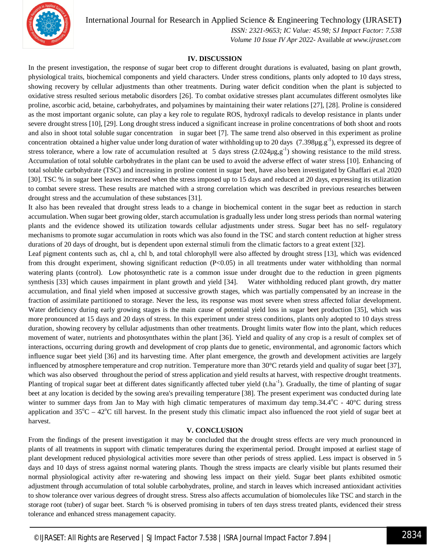

International Journal for Research in Applied Science & Engineering Technology (IJRASET**)**

 *ISSN: 2321-9653; IC Value: 45.98; SJ Impact Factor: 7.538 Volume 10 Issue IV Apr 2022-* Available *at www.ijraset.com*

#### **IV. DISCUSSION**

In the present investigation, the response of sugar beet crop to different drought durations is evaluated, basing on plant growth, physiological traits, biochemical components and yield characters. Under stress conditions, plants only adopted to 10 days stress, showing recovery by cellular adjustments than other treatments. During water deficit condition when the plant is subjected to oxidative stress resulted serious metabolic disorders [26]. To combat oxidative stresses plant accumulates different osmolytes like proline, ascorbic acid, betaine, carbohydrates, and polyamines by maintaining their water relations [27], [28]. Proline is considered as the most important organic solute, can play a key role to regulate ROS, hydroxyl radicals to develop resistance in plants under severe drought stress [10], [29]. Long drought stress induced a significant increase in proline concentrations of both shoot and roots and also in shoot total soluble sugar concentration in sugar beet [7]. The same trend also observed in this experiment as proline concentration obtained a higher value under long duration of water withholding up to 20 days  $(7.398\mu g.g^{-1})$ , expressed its degree of stress tolerance, where a low rate of accumulation resulted at 5 days stress  $(2.024\mu g, g^{-1})$  showing resistance to the mild stress. Accumulation of total soluble carbohydrates in the plant can be used to avoid the adverse effect of water stress [10]. Enhancing of total soluble carbohydrate (TSC) and increasing in proline content in sugar beet, have also been investigated by Ghaffari et.al 2020 [30]. TSC % in sugar beet leaves increased when the stress imposed up to 15 days and reduced at 20 days, expressing its utilization to combat severe stress. These results are matched with a strong correlation which was described in previous researches between drought stress and the accumulation of these substances [31].

It also has been revealed that drought stress leads to a change in biochemical content in the sugar beet as reduction in starch accumulation. When sugar beet growing older, starch accumulation is gradually less under long stress periods than normal watering plants and the evidence showed its utilization towards cellular adjustments under stress. Sugar beet has no self- regulatory mechanisms to promote sugar accumulation in roots which was also found in the TSC and starch content reduction at higher stress durations of 20 days of drought, but is dependent upon external stimuli from the climatic factors to a great extent [32].

Leaf pigment contents such as, chl a, chl b, and total chlorophyll were also affected by drought stress [13], which was evidenced from this drought experiment, showing significant reduction (P<0.05) in all treatments under water withholding than normal watering plants (control). Low photosynthetic rate is a common issue under drought due to the reduction in green pigments synthesis [33] which causes impairment in plant growth and yield [34]. Water withholding reduced plant growth, dry matter accumulation, and final yield when imposed at successive growth stages, which was partially compensated by an increase in the fraction of assimilate partitioned to storage. Never the less, its response was most severe when stress affected foliar development. Water deficiency during early growing stages is the main cause of potential yield loss in sugar beet production [35], which was more pronounced at 15 days and 20 days of stress. In this experiment under stress conditions, plants only adopted to 10 days stress duration, showing recovery by cellular adjustments than other treatments. Drought limits water flow into the plant, which reduces movement of water, nutrients and photosynthates within the plant [36]. Yield and quality of any crop is a result of complex set of interactions, occurring during growth and development of crop plants due to genetic, environmental, and agronomic factors which influence sugar beet yield [36] and its harvesting time. After plant emergence, the growth and development activities are largely influenced by atmosphere temperature and crop nutrition. Temperature more than 30°C retards yield and quality of sugar beet [37], which was also observed throughout the period of stress application and yield results at harvest, with respective drought treatments. Planting of tropical sugar beet at different dates significantly affected tuber yield (t.ha<sup>-1</sup>). Gradually, the time of planting of sugar beet at any location is decided by the sowing area's prevailing temperature [38]. The present experiment was conducted during late winter to summer days from Jan to May with high climatic temperatures of maximum day temp.34.4 $^{\circ}$ C - 40 $^{\circ}$ C during stress application and  $35^{\circ}\text{C} - 42^{\circ}\text{C}$  till harvest. In the present study this climatic impact also influenced the root yield of sugar beet at harvest.

## **V. CONCLUSION**

From the findings of the present investigation it may be concluded that the drought stress effects are very much pronounced in plants of all treatments in support with climatic temperatures during the experimental period. Drought imposed at earliest stage of plant development reduced physiological activities more severe than other periods of stress applied. Less impact is observed in 5 days and 10 days of stress against normal watering plants. Though the stress impacts are clearly visible but plants resumed their normal physiological activity after re-watering and showing less impact on their yield. Sugar beet plants exhibited osmotic adjustment through accumulation of total soluble carbohydrates, proline, and starch in leaves which increased antioxidant activities to show tolerance over various degrees of drought stress. Stress also affects accumulation of biomolecules like TSC and starch in the storage root (tuber) of sugar beet. Starch % is observed promising in tubers of ten days stress treated plants, evidenced their stress tolerance and enhanced stress management capacity.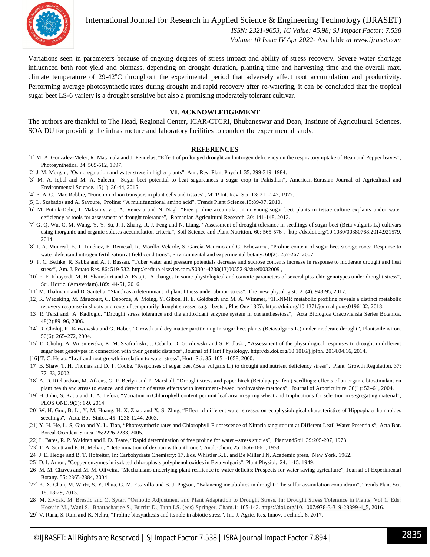

International Journal for Research in Applied Science & Engineering Technology (IJRASET**)**

 *ISSN: 2321-9653; IC Value: 45.98; SJ Impact Factor: 7.538 Volume 10 Issue IV Apr 2022-* Available *at www.ijraset.com*

Variations seen in parameters because of ongoing degrees of stress impact and ability of stress recovery. Severe water shortage influenced both root yield and biomass, depending on drought duration, planting time and harvesting time and the overall max. climate temperature of 29-42°C throughout the experimental period that adversely affect root accumulation and productivity. Performing average photosynthetic rates during drought and rapid recovery after re-watering, it can be concluded that the tropical sugar beet LS-6 variety is a drought sensitive but also a promising moderately tolerant cultivar.

#### **VI. ACKNOWLEDGEMENT**

The authors are thankful to The Head, Regional Center, ICAR-CTCRI, Bhubaneswar and Dean, Institute of Agricultural Sciences, SOA DU for providing the infrastructure and laboratory facilities to conduct the experimental study.

#### **REFERENCES**

- [1] M. A. Gonzalez-Meler, R. Matamala and J. Penuelas, "Effect of prolonged drought and nitrogen deficiency on the respiratory uptake of Bean and Pepper leaves", Photosynthetica. 34: 505-512, 1997.
- [2] J. M. Morgan, "Osmoregulation and water stress in higher plants", Ann. Rev. Plant Physiol. 35: 299-319, 1984.
- [3] M. A. Iqbal and M. A. Saleem, "Sugar beet potential to beat sugarcaneas a sugar crop in Pakisthan", American-Eurasian Journal of Agricultural and Environmental Science. 15(1): 36-44, 2015.
- [4] E. A. C. Mac Robbie, "Function of ion transport in plant cells and tissues", MTP Int. Rev. Sci. 13: 211-247, 1977.
- [5] L. Szabados and A. Savoure, Proline: "A multifunctional amino acid", Trends Plant Science.15:89-97, 2010.
- [6] M. Putnik-Delic, I. Maksimvovic, A. Venezia and N. Nagl, "Free proline accumulation in young sugar beet plants in tissue culture explants under water deficiency as tools for assessment of drought tolerance", Romanian Agricultural Research. 30: 141-148, 2013.
- [7] G. Q. Wu, C. M. Wang, Y. Y. Su, J. J. Zhang, R. J. Feng and N. Liang, "Assessment of drought tolerance in seedlings of sugar beet (Beta vulgaris L.) cultivars using inorganic and organic solutes accumulation criteria", Soil Science and Plant Nutrition. 60: 565-576 . http://dx.doi.org/10.1080/00380768.2014.921579, 2014.
- [8] J. A. Munreal, E. T. Jiménez, E. Remesal, R. Morillo-Velarde, S. García-Maurino and C. Echevarria, "Proline content of sugar beet storage roots: Response to water deficitand nitrogen fertilization at field conditions", Environmental and experimental botany. 60(2): 257-267, 2007.
- [9] P. C. Bethke, R. Sabba and A. J. Bussan, "Tuber water and pressure potentials decrease and sucrose contents increase in response to moderate drought and heat stress", Am. J. Potato Res. 86: 519-532. http://refhub.elsevier.com/S0304-4238(13)00552-9/sbref0032009 ,
- [10] F. F. Khoyerdi, M. H. Shamshiri and A. Estaji, "A changes in some physiological and osmotic parameters of several pistachio genotypes under drought stress", Sci. Hortic. (Amsterdam).189: 44-51, 2016.
- [11] M. Thalmann and D. Santelia, "Starch as a determinant of plant fitness under abiotic stress", The new phytologist. 21(4): 943-95, 2017.
- [12] R. Wedeking, M. Maucourt, C. Deborde, A. Moing, Y. Gibon, H. E. Goldbach and M. A. Wimmer, "1H-NMR metabolic profiling reveals a distinct metabolic recovery response in shoots and roots of temporarily drought stressed sugar beets", Plos One 13(5). https://doi.org/10.1371/journal.pone.0196102, 2018.
- [13] R. Terzi and A. Kadioglu, "Drought stress tolerance and the antioxidant enzyme system in ctenanthesetosa", Acta Biologica Cracoviensia Series Botanica. 48(2):89–96, 2006.
- [14] D. Choluj, R. Karwowska and G. Haber, "Growth and dry matter partitioning in sugar beet plants (Betavulgaris L.) under moderate drought", Plantsoilenviron. 50(6): 265–272, 2004.
- [15] D. Choluj, A. Wi sniewska, K. M. Szafra'nski, J. Cebula, D. Gozdowski and S. Podlaski, "Assessment of the physiological responses to drought in different sugar beet genotypes in connection with their genetic distance", Journal of Plant Physiology. http://dx.doi.org/10.1016/j.jplph. 2014.04.16, 2014.
- [16] T. C. Hsiao, "Leaf and root growth in relation to water stress", Hort. Sci. 35: 1051-1058, 2000.
- [17] B. Shaw, T. H. Thomas and D. T. Cooke, "Responses of sugar beet (Beta vulgaris L.) to drought and nutrient deficiency stress", Plant Growth Regulation. 37: 77–83, 2002.
- [18] A. D. Richardson, M. Aikens, G. P. Berlyn and P. Marshall, "Drought stress and paper birch (Betulapapyrifera) seedlings: effects of an organic biostimulant on plant health and stress tolerance, and detection of stress effects with instrument- based, noninvasive methods", Journal of Arboriculture. 30(1): 52–61, 2004.
- [19] H. John, S. Katia and T. A. Tefera, "Variation in Chlorophyll content per unit leaf area in spring wheat and Implications for selection in segregating material", PLOS ONE. 9(3): 1-9, 2014.
- [20] W. H. Guo, B. Li, Y. M. Huang, H. X. Zhao and X. S. Zhng, "Effect of different water stresses on ecophysiological characteristics of Hippophaer hamnoides seedlings", Acta. Bot .Sinica. 45: 1238-1244, 2003.
- [21] Y. H. He, L. S, Guo and Y. L. Tian, "Photosynthetic rates and Chlorophyll Fluorescence of Nitraria tangutorum at Different Leaf Water Potentials", Acta Bot. Boreal-Occident Sinica. 25:2226-2233, 2005.
- [22] L. Bates, R. P. Waldren and I. D. Teare, "Rapid determination of free proline for water –stress studies", PlantandSoil. 39:205-207, 1973.
- [23] T. A. Scott and E. H. Melvin, "Determination of dextran with anthrone", Anal. Chem. 25:1656-1661, 1953.
- [24] J. E. Hedge and B. T. Hofreiter, In: Carbohydrate Chemistry: 17, Eds. Whistler R,L, and Be Miller I N, Academic press, New York, 1962.
- [25] D. I. Arnon, "Copper enzymes in isolated chloroplasts polyphenol oxides in Beta vulgaris", Plant Physiol, 24: 1-15, 1949.
- [26] M. M. Chaves and M. M. Oliveira, "Mechanisms underlying plant resilience to water deficits: Prospects for water saving agriculture", Journal of Experimental Botany. 55: 2365-2384, 2004.
- [27] K. X. Chan, M. Wirtz, S. Y. Phua, G. M. Estavillo and B. J. Pogson, "Balancing metabolites in drought: The sulfur assimilation conundrum", Trends Plant Sci. 18: 18-29, 2013.
- [28] M. Zivcak, M. Brestic and O. Sytar, "Osmotic Adjustment and Plant Adaptation to Drought Stress, In: Drought Stress Tolerance in Plants, Vol 1. Eds: Hossain M., Wani S., Bhattacharjee S., Burritt D., Tran LS. (eds) Springer, Cham.1: 105-143. https://doi.org/10.1007/978-3-319-28899-4\_5, 2016.
- [29] V. Rana, S. Ram and K. Nehra, "Proline biosynthesis and its role in abiotic stress", Int. J. Agric. Res. Innov. Technol. 6, 2017.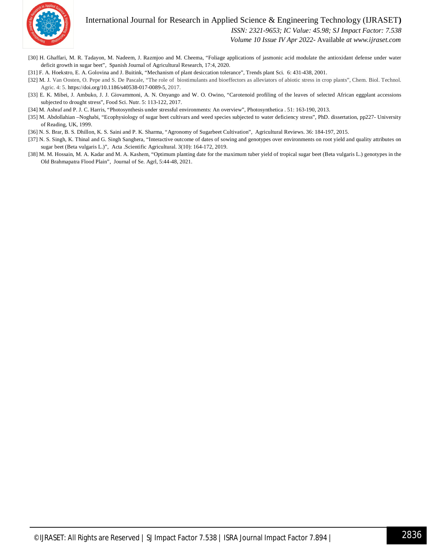## International Journal for Research in Applied Science & Engineering Technology (IJRASET**)**



 *ISSN: 2321-9653; IC Value: 45.98; SJ Impact Factor: 7.538*

 *Volume 10 Issue IV Apr 2022-* Available *at www.ijraset.com*

- [30] H. Ghaffari, M. R. Tadayon, M. Nadeem, J. Razmjoo and M. Cheema, "Foliage applications of jasmonic acid modulate the antioxidant defense under water deficit growth in sugar beet", Spanish Journal of Agricultural Research, 17:4, 2020.
- [31] F. A. Hoekstro, E. A. Golovina and J. Buitink, "Mechanism of plant desiccation tolerance", Trends plant Sci. 6: 431-438, 2001.
- [32] M. J. Van Oosten, O. Pepe and S. De Pascale, "The role of biostimulants and bioeffectors as alleviators of abiotic stress in crop plants", Chem. Biol. Technol. Agric. 4: 5. https://doi.org/10.1186/s40538-017-0089-5, 2017.
- [33] E. K. Mibei, J. Ambuko, J. J. Giovammoni, A. N. Onyango and W. O. Owino, "Carotenoid profiling of the leaves of selected African eggplant accessions subjected to drought stress", Food Sci. Nutr. 5: 113-122, 2017.
- [34] M. Ashraf and P. J. C. Harris, "Photosynthesis under stressful environments: An overview", Photosynthetica . 51: 163-190, 2013.
- [35] M. Abdollahian –Noghabi, "Ecophysiology of sugar beet cultivars and weed species subjected to water deficiency stress", PhD. dissertation, pp227- University of Reading, UK, 1999.
- [36] N. S. Brar, B. S. Dhillon, K. S. Saini and P. K. Sharma, "Agronomy of Sugarbeet Cultivation", Agricultural Reviews. 36: 184-197, 2015.
- [37] N. S. Singh, K. Thinal and G. Singh Sanghera, "Interactive outcome of dates of sowing and genotypes over environments on root yield and quality attributes on sugar beet (Beta vulgaris L.)", Acta .Scientific Agricultural. 3(10): 164-172, 2019.
- [38] M. M. Hossain, M. A. Kadar and M. A. Kashem, "Optimum planting date for the maximum tuber yield of tropical sugar beet (Beta vulgaris L.) genotypes in the Old Brahmapatra Flood Plain", Journal of Se. Agrl, 5:44-48, 2021.